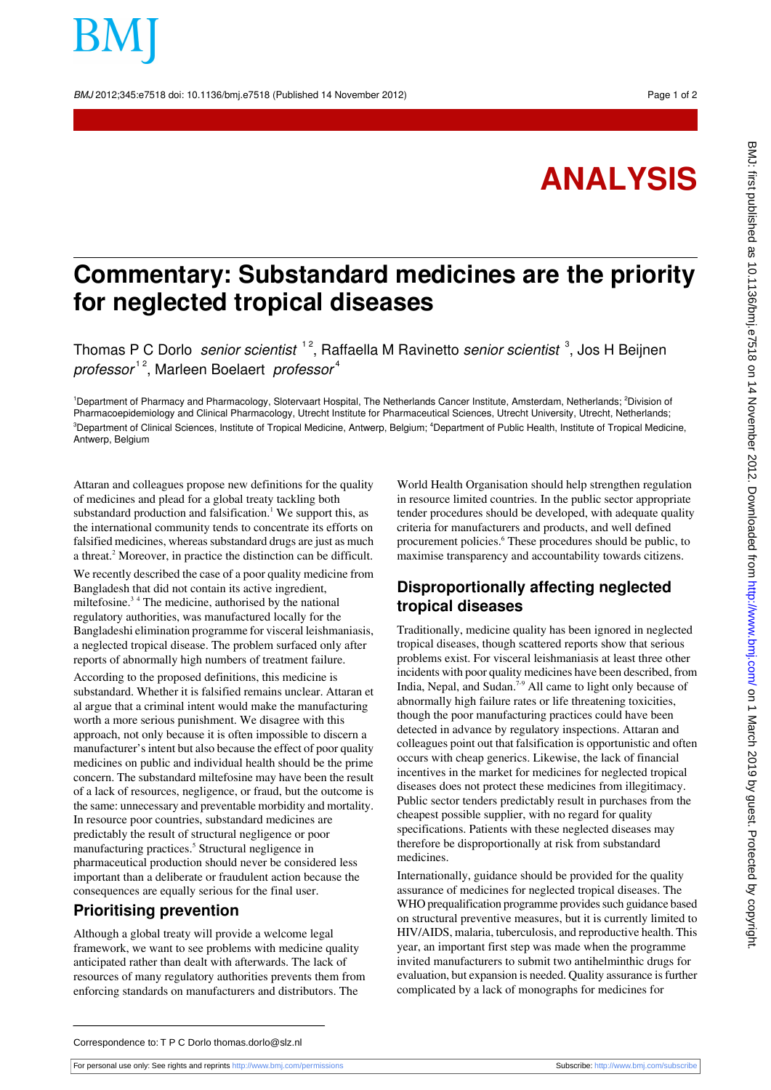BMJ 2012;345:e7518 doi: 10.1136/bmj.e7518 (Published 14 November 2012) Page 1 of 2

# **ANALYSIS**

## **Commentary: Substandard medicines are the priority for neglected tropical diseases**

Thomas P C Dorlo *senior scientist* <sup>12</sup>, Raffaella M Ravinetto *senior scientist* <sup>3</sup>, Jos H Beijnen professor<sup>12</sup>, Marleen Boelaert professor<sup>4</sup>

<sup>1</sup>Department of Pharmacy and Pharmacology, Slotervaart Hospital, The Netherlands Cancer Institute, Amsterdam, Netherlands; <sup>2</sup>Division of Pharmacoepidemiology and Clinical Pharmacology, Utrecht Institute for Pharmaceutical Sciences, Utrecht University, Utrecht, Netherlands; <sup>3</sup>Department of Clinical Sciences, Institute of Tropical Medicine, Antwerp, Belgium; <sup>4</sup>Department of Public Health, Institute of Tropical Medicine, Antwerp, Belgium

Attaran and colleagues propose new definitions for the quality of medicines and plead for a global treaty tackling both substandard production and falsification.<sup>1</sup> We support this, as the international community tends to concentrate its efforts on falsified medicines, whereas substandard drugs are just as much a threat.<sup>2</sup> Moreover, in practice the distinction can be difficult.

We recently described the case of a poor quality medicine from Bangladesh that did not contain its active ingredient, miltefosine. $3<sup>4</sup>$  The medicine, authorised by the national regulatory authorities, was manufactured locally for the Bangladeshi elimination programme for visceral leishmaniasis, a neglected tropical disease. The problem surfaced only after reports of abnormally high numbers of treatment failure.

According to the proposed definitions, this medicine is substandard. Whether it is falsified remains unclear. Attaran et al argue that a criminal intent would make the manufacturing worth a more serious punishment. We disagree with this approach, not only because it is often impossible to discern a manufacturer's intent but also because the effect of poor quality medicines on public and individual health should be the prime concern. The substandard miltefosine may have been the result of a lack of resources, negligence, or fraud, but the outcome is the same: unnecessary and preventable morbidity and mortality. In resource poor countries, substandard medicines are predictably the result of structural negligence or poor manufacturing practices.<sup>5</sup> Structural negligence in pharmaceutical production should never be considered less important than a deliberate or fraudulent action because the consequences are equally serious for the final user.

#### **Prioritising prevention**

Although a global treaty will provide a welcome legal framework, we want to see problems with medicine quality anticipated rather than dealt with afterwards. The lack of resources of many regulatory authorities prevents them from enforcing standards on manufacturers and distributors. The

World Health Organisation should help strengthen regulation in resource limited countries. In the public sector appropriate tender procedures should be developed, with adequate quality criteria for manufacturers and products, and well defined procurement policies.<sup>6</sup> These procedures should be public, to maximise transparency and accountability towards citizens.

### **Disproportionally affecting neglected tropical diseases**

Traditionally, medicine quality has been ignored in neglected tropical diseases, though scattered reports show that serious problems exist. For visceral leishmaniasis at least three other incidents with poor quality medicines have been described, from India, Nepal, and Sudan.<sup>7,9</sup> All came to light only because of abnormally high failure rates or life threatening toxicities, though the poor manufacturing practices could have been detected in advance by regulatory inspections. Attaran and colleagues point out that falsification is opportunistic and often occurs with cheap generics. Likewise, the lack of financial incentives in the market for medicines for neglected tropical diseases does not protect these medicines from illegitimacy. Public sector tenders predictably result in purchases from the cheapest possible supplier, with no regard for quality specifications. Patients with these neglected diseases may therefore be disproportionally at risk from substandard medicines.

Internationally, guidance should be provided for the quality assurance of medicines for neglected tropical diseases. The WHO prequalification programme provides such guidance based on structural preventive measures, but it is currently limited to HIV/AIDS, malaria, tuberculosis, and reproductive health. This year, an important first step was made when the programme invited manufacturers to submit two antihelminthic drugs for evaluation, but expansion is needed. Quality assurance is further complicated by a lack of monographs for medicines for